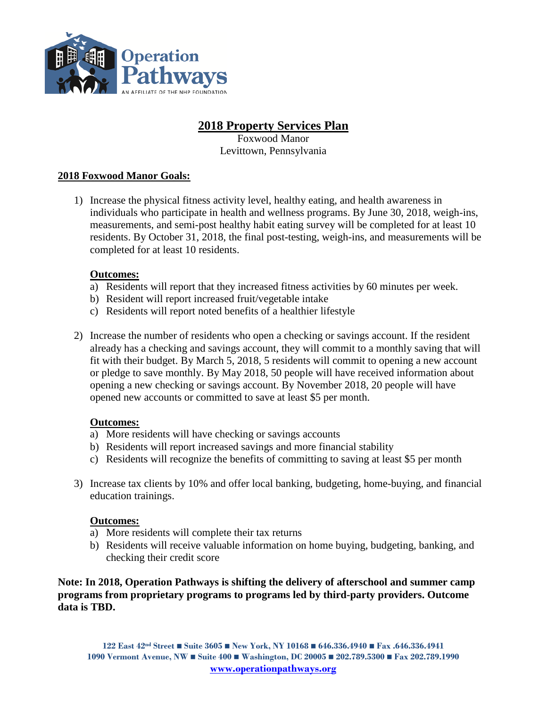

# **2018 Property Services Plan**

Foxwood Manor Levittown, Pennsylvania

# **2018 Foxwood Manor Goals:**

1) Increase the physical fitness activity level, healthy eating, and health awareness in individuals who participate in health and wellness programs. By June 30, 2018, weigh-ins, measurements, and semi-post healthy habit eating survey will be completed for at least 10 residents. By October 31, 2018, the final post-testing, weigh-ins, and measurements will be completed for at least 10 residents.

# **Outcomes:**

- a) Residents will report that they increased fitness activities by 60 minutes per week.
- b) Resident will report increased fruit/vegetable intake
- c) Residents will report noted benefits of a healthier lifestyle
- 2) Increase the number of residents who open a checking or savings account. If the resident already has a checking and savings account, they will commit to a monthly saving that will fit with their budget. By March 5, 2018, 5 residents will commit to opening a new account or pledge to save monthly. By May 2018, 50 people will have received information about opening a new checking or savings account. By November 2018, 20 people will have opened new accounts or committed to save at least \$5 per month.

# **Outcomes:**

- a) More residents will have checking or savings accounts
- b) Residents will report increased savings and more financial stability
- c) Residents will recognize the benefits of committing to saving at least \$5 per month
- 3) Increase tax clients by 10% and offer local banking, budgeting, home-buying, and financial education trainings.

# **Outcomes:**

- a) More residents will complete their tax returns
- b) Residents will receive valuable information on home buying, budgeting, banking, and checking their credit score

**Note: In 2018, Operation Pathways is shifting the delivery of afterschool and summer camp programs from proprietary programs to programs led by third-party providers. Outcome data is TBD.**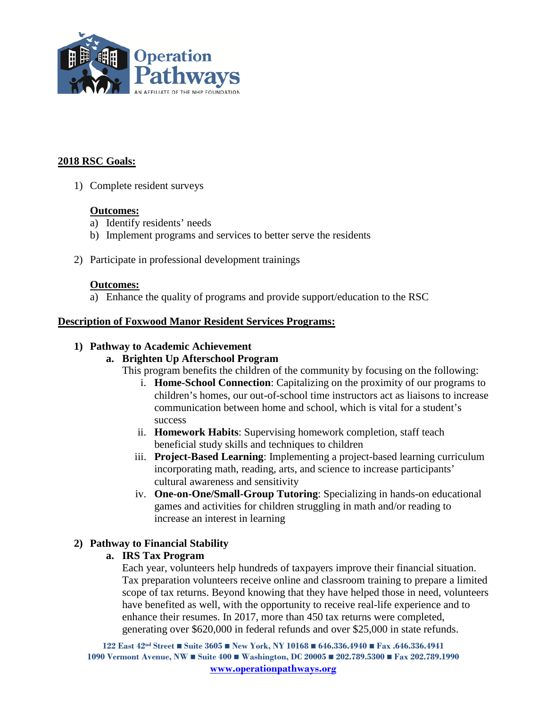

### **2018 RSC Goals:**

1) Complete resident surveys

#### **Outcomes:**

- a) Identify residents' needs
- b) Implement programs and services to better serve the residents
- 2) Participate in professional development trainings

#### **Outcomes:**

a) Enhance the quality of programs and provide support/education to the RSC

#### **Description of Foxwood Manor Resident Services Programs:**

#### **1) Pathway to Academic Achievement**

#### **a. Brighten Up Afterschool Program**

This program benefits the children of the community by focusing on the following:

- i. **Home-School Connection**: Capitalizing on the proximity of our programs to children's homes, our out-of-school time instructors act as liaisons to increase communication between home and school, which is vital for a student's success
- ii. **Homework Habits**: Supervising homework completion, staff teach beneficial study skills and techniques to children
- iii. **Project-Based Learning**: Implementing a project-based learning curriculum incorporating math, reading, arts, and science to increase participants' cultural awareness and sensitivity
- iv. **One-on-One/Small-Group Tutoring**: Specializing in hands-on educational games and activities for children struggling in math and/or reading to increase an interest in learning

#### **2) Pathway to Financial Stability**

#### **a. IRS Tax Program**

Each year, volunteers help hundreds of taxpayers improve their financial situation. Tax preparation volunteers receive online and classroom training to prepare a limited scope of tax returns. Beyond knowing that they have helped those in need, volunteers have benefited as well, with the opportunity to receive real-life experience and to enhance their resumes. In 2017, more than 450 tax returns were completed, generating over \$620,000 in federal refunds and over \$25,000 in state refunds.

**122 East 42nd Street Suite 3605 New York, NY 10168 646.336.4940 Fax .646.336.4941 1090 Vermont Avenue, NW Suite 400 Washington, DC 20005 202.789.5300 Fax 202.789.1990 [www.operationpathways.org](http://www.operationpathways.org/)**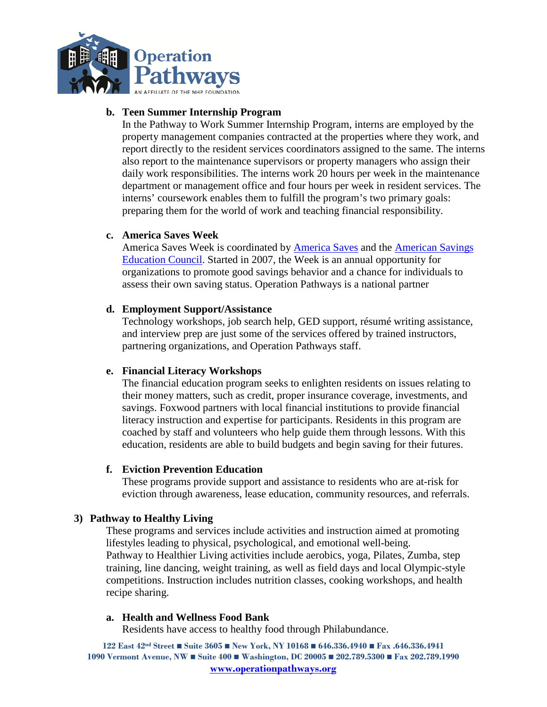

## **b. Teen Summer Internship Program**

In the Pathway to Work Summer Internship Program, interns are employed by the property management companies contracted at the properties where they work, and report directly to the resident services coordinators assigned to the same. The interns also report to the maintenance supervisors or property managers who assign their daily work responsibilities. The interns work 20 hours per week in the maintenance department or management office and four hours per week in resident services. The interns' coursework enables them to fulfill the program's two primary goals: preparing them for the world of work and teaching financial responsibility.

#### **c. America Saves Week**

[America Saves](http://americasaves.org/) Week is coordinated by **America Saves** and the **American Savings** [Education Council.](http://www.choosetosave.org/) Started in 2007, the Week is an annual opportunity for organizations to promote good savings behavior and a chance for individuals to assess their own saving status. Operation Pathways is a national partner

#### **d. Employment Support/Assistance**

Technology workshops, job search help, GED support, résumé writing assistance, and interview prep are just some of the services offered by trained instructors, partnering organizations, and Operation Pathways staff.

#### **e. Financial Literacy Workshops**

The financial education program seeks to enlighten residents on issues relating to their money matters, such as credit, proper insurance coverage, investments, and savings. Foxwood partners with local financial institutions to provide financial literacy instruction and expertise for participants. Residents in this program are coached by staff and volunteers who help guide them through lessons. With this education, residents are able to build budgets and begin saving for their futures.

#### **f. Eviction Prevention Education**

These programs provide support and assistance to residents who are at-risk for eviction through awareness, lease education, community resources, and referrals.

#### **3) Pathway to Healthy Living**

These programs and services include activities and instruction aimed at promoting lifestyles leading to physical, psychological, and emotional well-being. Pathway to Healthier Living activities include aerobics, yoga, Pilates, Zumba, step training, line dancing, weight training, as well as field days and local Olympic-style competitions. Instruction includes nutrition classes, cooking workshops, and health recipe sharing.

#### **a. Health and Wellness Food Bank**

Residents have access to healthy food through Philabundance.

**122 East 42nd Street Suite 3605 New York, NY 10168 646.336.4940 Fax .646.336.4941 1090 Vermont Avenue, NW Suite 400 Washington, DC 20005 202.789.5300 Fax 202.789.1990 [www.operationpathways.org](http://www.operationpathways.org/)**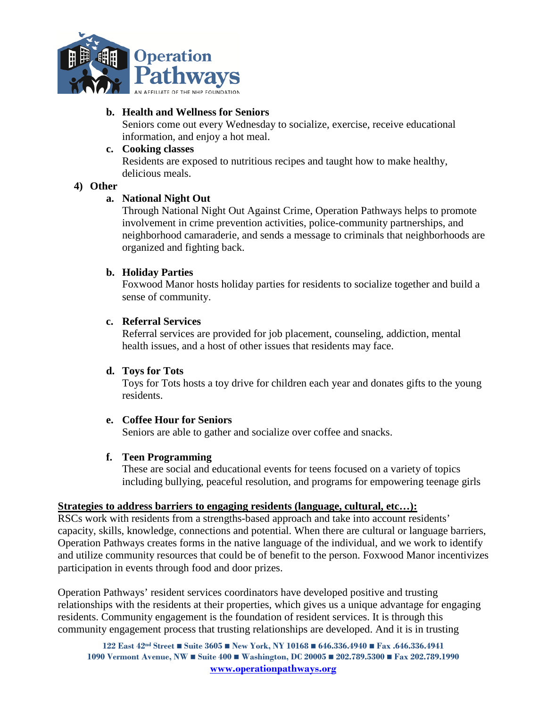

### **b. Health and Wellness for Seniors**

Seniors come out every Wednesday to socialize, exercise, receive educational information, and enjoy a hot meal.

### **c. Cooking classes**

Residents are exposed to nutritious recipes and taught how to make healthy, delicious meals.

#### **4) Other**

### **a. National Night Out**

Through National Night Out Against Crime, Operation Pathways helps to promote involvement in crime prevention activities, police-community partnerships, and neighborhood camaraderie, and sends a message to criminals that neighborhoods are organized and fighting back.

### **b. Holiday Parties**

Foxwood Manor hosts holiday parties for residents to socialize together and build a sense of community.

### **c. Referral Services**

Referral services are provided for job placement, counseling, addiction, mental health issues, and a host of other issues that residents may face.

#### **d. Toys for Tots**

Toys for Tots hosts a toy drive for children each year and donates gifts to the young residents.

#### **e. Coffee Hour for Seniors**

Seniors are able to gather and socialize over coffee and snacks.

#### **f. Teen Programming**

These are social and educational events for teens focused on a variety of topics including bullying, peaceful resolution, and programs for empowering teenage girls

#### **Strategies to address barriers to engaging residents (language, cultural, etc…):**

RSCs work with residents from a strengths-based approach and take into account residents' capacity, skills, knowledge, connections and potential. When there are cultural or language barriers, Operation Pathways creates forms in the native language of the individual, and we work to identify and utilize community resources that could be of benefit to the person. Foxwood Manor incentivizes participation in events through food and door prizes.

Operation Pathways' resident services coordinators have developed positive and trusting relationships with the residents at their properties, which gives us a unique advantage for engaging residents. Community engagement is the foundation of resident services. It is through this community engagement process that trusting relationships are developed. And it is in trusting

**122 East 42nd Street Suite 3605 New York, NY 10168 646.336.4940 Fax .646.336.4941 1090 Vermont Avenue, NW Suite 400 Washington, DC 20005 202.789.5300 Fax 202.789.1990 [www.operationpathways.org](http://www.operationpathways.org/)**